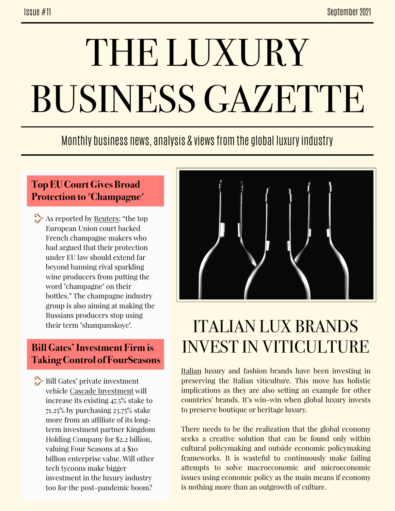# THE LUXURY BUSINESS GAZETTE

### Monthly business news, analysis & views from the global luxury industry

#### **Top EU Court Gives Broad Protection to 'Champagne'**

As reported by [Reuters:](https://www.reuters.com/world/europe/top-eu-court-gives-broad-protection-term-champagne-2021-09-09/) "the top" European Union court backed French champagne makers who had argued that their protection under EU law should extend far beyond banning rival sparkling wine producers from putting the word "champagne" on their bottles." The champagne industry group is also aiming at making the Russians producers stop using their term "shampanskoye".

#### **Bill Gates' Investment Firm is Taking Control of FourSeasons**

Bill Gates' private investment vehicle [Cascade Investment](https://japantoday.com/category/features/travel/company-controlled-by-bill-gates-to-buy-major-interest-in-four-seasons-hotels-and-resorts) will increase its existing 47.5% stake to 71.25% by purchasing 23.75% stake more from an affiliate of its longterm investment partner Kingdom Holding Company for \$2.2 billion, valuing Four Seasons at a \$10 billion enterprise value. Will other tech tycoons make bigger investment in the luxury industry too for the post-pandemic boom?



# ITALIAN LUX BRANDS INVEST IN VITICULTURE

[Italian](https://www.yahoo.com/now/fashion-winemaking-italian-way-044542843.html) luxury and fashion brands have been investing in preserving the Italian viticulture. This move has holistic implications as they are also setting an example for other countries' brands. It's win-win when global luxury invests to preserve boutique or heritage luxury.

There needs to be the realization that the global economy seeks a creative solution that can be found only within cultural policymaking and outside economic policymaking frameworks. It is wasteful to continuously make failing attempts to solve macroeconomic and microeconomic issues using economic policy as the main means if economy is nothing more than an outgrowth of culture.